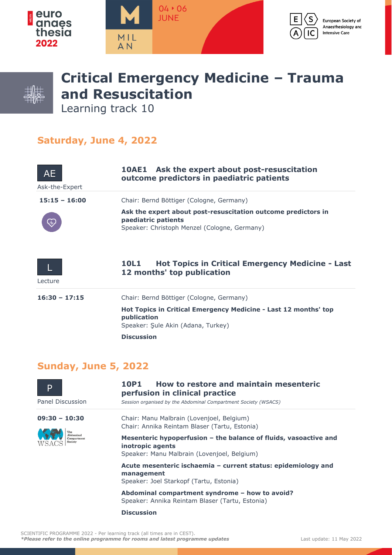



## **Critical Emergency Medicine – Trauma and Resuscitation**

Learning track 10

## **Saturday, June 4, 2022**

| <b>AE</b><br>Ask-the-Expert | <b>10AE1</b> Ask the expert about post-resuscitation<br>outcome predictors in paediatric patients                                    |
|-----------------------------|--------------------------------------------------------------------------------------------------------------------------------------|
| $15:15 - 16:00$             | Chair: Bernd Böttiger (Cologne, Germany)                                                                                             |
|                             | Ask the expert about post-resuscitation outcome predictors in<br>paediatric patients<br>Speaker: Christoph Menzel (Cologne, Germany) |
| Lecture                     | <b>Hot Topics in Critical Emergency Medicine - Last</b><br>10L1<br>12 months' top publication                                        |
| $16:30 - 17:15$             | Chair: Bernd Böttiger (Cologne, Germany)                                                                                             |
|                             | Hot Topics in Critical Emergency Medicine - Last 12 months' top<br>publication<br>Speaker: Şule Akin (Adana, Turkey)                 |
|                             | <b>Discussion</b>                                                                                                                    |

## **Sunday, June 5, 2022**

| D                                                      | How to restore and maintain mesenteric<br>10P1<br>perfusion in clinical practice                                                    |
|--------------------------------------------------------|-------------------------------------------------------------------------------------------------------------------------------------|
| Panel Discussion                                       | Session organised by the Abdominal Compartment Society (WSACS)                                                                      |
| $09:30 - 10:30$<br>Ahdominal<br>Compartment<br>Society | Chair: Manu Malbrain (Lovenjoel, Belgium)<br>Chair: Annika Reintam Blaser (Tartu, Estonia)                                          |
|                                                        | Mesenteric hypoperfusion - the balance of fluids, vasoactive and<br>inotropic agents<br>Speaker: Manu Malbrain (Lovenjoel, Belgium) |
|                                                        | Acute mesenteric ischaemia – current status: epidemiology and<br>management<br>Speaker: Joel Starkopf (Tartu, Estonia)              |
|                                                        | Abdominal compartment syndrome - how to avoid?<br>Speaker: Annika Reintam Blaser (Tartu, Estonia)                                   |
|                                                        | <b>Discussion</b>                                                                                                                   |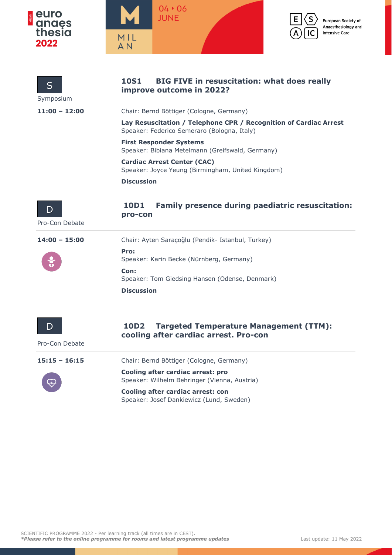





 $\mathsf{s}$ 

IC



| S<br>Symposium       | <b>BIG FIVE in resuscitation: what does really</b><br><b>10S1</b><br>improve outcome in 2022?                    |
|----------------------|------------------------------------------------------------------------------------------------------------------|
| $11:00 - 12:00$      | Chair: Bernd Böttiger (Cologne, Germany)                                                                         |
|                      | Lay Resuscitation / Telephone CPR / Recognition of Cardiac Arrest<br>Speaker: Federico Semeraro (Bologna, Italy) |
|                      | <b>First Responder Systems</b><br>Speaker: Bibiana Metelmann (Greifswald, Germany)                               |
|                      | <b>Cardiac Arrest Center (CAC)</b><br>Speaker: Joyce Yeung (Birmingham, United Kingdom)                          |
|                      | <b>Discussion</b>                                                                                                |
| D<br>Pro-Con Debate  | <b>Family presence during paediatric resuscitation:</b><br>10D1<br>pro-con                                       |
| 14:00 - 15:00        | Chair: Ayten Saraçoğlu (Pendik- Istanbul, Turkey)                                                                |
|                      | Pro:<br>Speaker: Karin Becke (Nürnberg, Germany)                                                                 |
|                      | Con:<br>Speaker: Tom Giedsing Hansen (Odense, Denmark)                                                           |
|                      | <b>Discussion</b>                                                                                                |
| I)<br>Pro-Con Debate | 10D2<br><b>Targeted Temperature Management (TTM):</b><br>cooling after cardiac arrest. Pro-con                   |
| $15:15 - 16:15$      | Chair: Bernd Böttiger (Cologne, Germany)                                                                         |
|                      | Cooling after cardiac arrest: pro<br>Speaker: Wilhelm Behringer (Vienna, Austria)                                |
|                      | Cooling after cardiac arrest: con<br>Speaker: Josef Dankiewicz (Lund, Sweden)                                    |